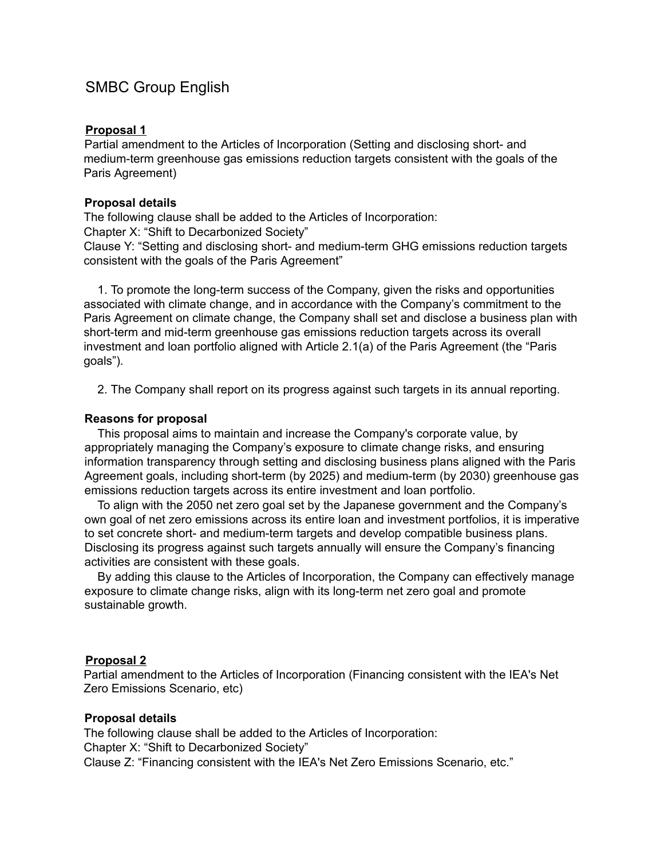# SMBC Group English

## **Proposal 1**

Partial amendment to the Articles of Incorporation (Setting and disclosing short- and medium-term greenhouse gas emissions reduction targets consistent with the goals of the Paris Agreement)

### **Proposal details**

The following clause shall be added to the Articles of Incorporation: Chapter X: "Shift to Decarbonized Society" Clause Y: "Setting and disclosing short- and medium-term GHG emissions reduction targets

consistent with the goals of the Paris Agreement"

1. To promote the long-term success of the Company, given the risks and opportunities associated with climate change, and in accordance with the Company's commitment to the Paris Agreement on climate change, the Company shall set and disclose a business plan with short-term and mid-term greenhouse gas emissions reduction targets across its overall investment and loan portfolio aligned with Article 2.1(a) of the Paris Agreement (the "Paris goals").

2. The Company shall report on its progress against such targets in its annual reporting.

#### **Reasons for proposal**

This proposal aims to maintain and increase the Company's corporate value, by appropriately managing the Company's exposure to climate change risks, and ensuring information transparency through setting and disclosing business plans aligned with the Paris Agreement goals, including short-term (by 2025) and medium-term (by 2030) greenhouse gas emissions reduction targets across its entire investment and loan portfolio.

To align with the 2050 net zero goal set by the Japanese government and the Company's own goal of net zero emissions across its entire loan and investment portfolios, it is imperative to set concrete short- and medium-term targets and develop compatible business plans. Disclosing its progress against such targets annually will ensure the Company's financing activities are consistent with these goals.

By adding this clause to the Articles of Incorporation, the Company can effectively manage exposure to climate change risks, align with its long-term net zero goal and promote sustainable growth.

#### **Proposal 2**

Partial amendment to the Articles of Incorporation (Financing consistent with the IEA's Net Zero Emissions Scenario, etc)

## **Proposal details**

The following clause shall be added to the Articles of Incorporation: Chapter X: "Shift to Decarbonized Society" Clause Z: "Financing consistent with the IEA's Net Zero Emissions Scenario, etc."